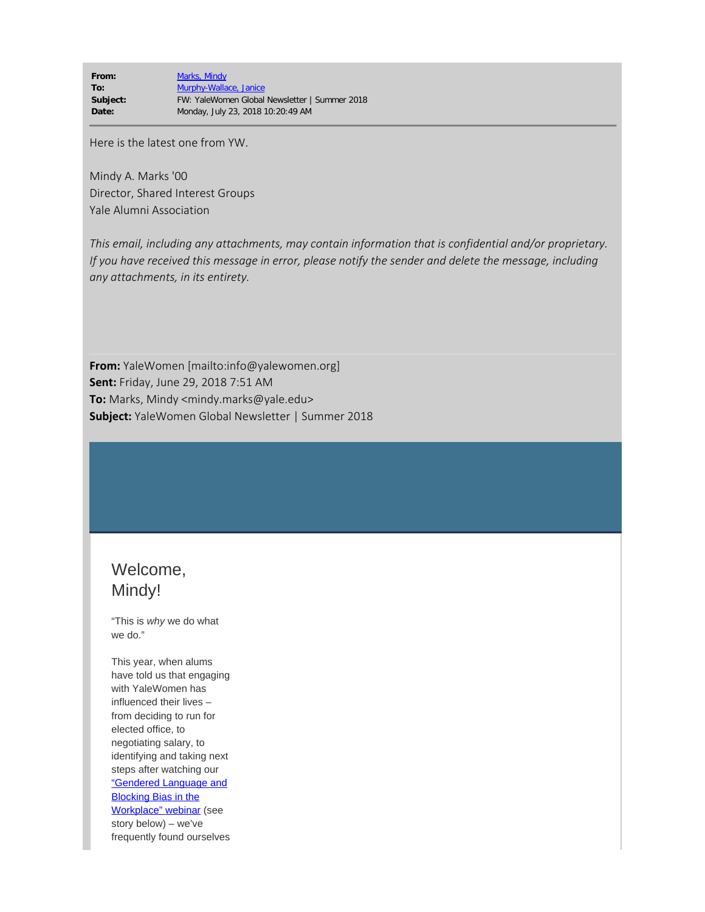**From:** [Marks, Mindy](mailto:/O=EXCHANGELABS/OU=EXCHANGE ADMINISTRATIVE GROUP (FYDIBOHF23SPDLT)/CN=RECIPIENTS/CN=468B9AFF9A324263845BF206F0B37448-MAO9) **To:** [Murphy-Wallace, Janice](mailto:janice.wallace@yale.edu) **Subject:** FW: YaleWomen Global Newsletter | Summer 2018 **Date:** Monday, July 23, 2018 10:20:49 AM

Here is the latest one from YW.

Mindy A. Marks '00 Director, Shared Interest Groups Yale Alumni Association

*This email, including any attachments, may contain information that is confidential and/or proprietary. If you have received this message in error, please notify the sender and delete the message, including any attachments, in its entirety.*

**From:** YaleWomen [mailto:info@yalewomen.org] **Sent:** Friday, June 29, 2018 7:51 AM **To:** Marks, Mindy <mindy.marks@yale.edu> **Subject:** YaleWomen Global Newsletter | Summer 2018

# Welcome, Mindy!

"This is *why* we do what we do."

This year, when alums have told us that engaging with YaleWomen has influenced their lives – from deciding to run for elected office, to negotiating salary, to identifying and taking next steps after watching our ["Gendered Language and](https://na01.safelinks.protection.outlook.com/?url=https%3A%2F%2Fwww.yalewomen.org%2Fr%3Fu%3Dhttps%253A%252F%252Fwww.youtube.com%252Fwatch%253Fv%253DqXI-4SiMgsg%26e%3D082a34e826bdd8bc81b2ae13b59ca50d183566c3%26utm_source%3Dyalewomen%26utm_medium%3Demail%26utm_campaign%3Dyw_summer2018%26n%3D1&data=02%7C01%7Cmindy.marks%40yale.edu%7C0dddaa41cfaf4b49b1dc08d5ddb6a6c1%7Cdd8cbebb21394df8b4114e3e87abeb5c%7C0%7C0%7C636658698925371635&sdata=trzNC3dvPaaDPO0U3G2YsD0yhjFJMPN%2Fmg3HvCUurWA%3D&reserved=0) [Blocking Bias in the](https://na01.safelinks.protection.outlook.com/?url=https%3A%2F%2Fwww.yalewomen.org%2Fr%3Fu%3Dhttps%253A%252F%252Fwww.youtube.com%252Fwatch%253Fv%253DqXI-4SiMgsg%26e%3D082a34e826bdd8bc81b2ae13b59ca50d183566c3%26utm_source%3Dyalewomen%26utm_medium%3Demail%26utm_campaign%3Dyw_summer2018%26n%3D1&data=02%7C01%7Cmindy.marks%40yale.edu%7C0dddaa41cfaf4b49b1dc08d5ddb6a6c1%7Cdd8cbebb21394df8b4114e3e87abeb5c%7C0%7C0%7C636658698925371635&sdata=trzNC3dvPaaDPO0U3G2YsD0yhjFJMPN%2Fmg3HvCUurWA%3D&reserved=0) [Workplace" webinar](https://na01.safelinks.protection.outlook.com/?url=https%3A%2F%2Fwww.yalewomen.org%2Fr%3Fu%3Dhttps%253A%252F%252Fwww.youtube.com%252Fwatch%253Fv%253DqXI-4SiMgsg%26e%3D082a34e826bdd8bc81b2ae13b59ca50d183566c3%26utm_source%3Dyalewomen%26utm_medium%3Demail%26utm_campaign%3Dyw_summer2018%26n%3D1&data=02%7C01%7Cmindy.marks%40yale.edu%7C0dddaa41cfaf4b49b1dc08d5ddb6a6c1%7Cdd8cbebb21394df8b4114e3e87abeb5c%7C0%7C0%7C636658698925371635&sdata=trzNC3dvPaaDPO0U3G2YsD0yhjFJMPN%2Fmg3HvCUurWA%3D&reserved=0) (see story below) – we've frequently found ourselves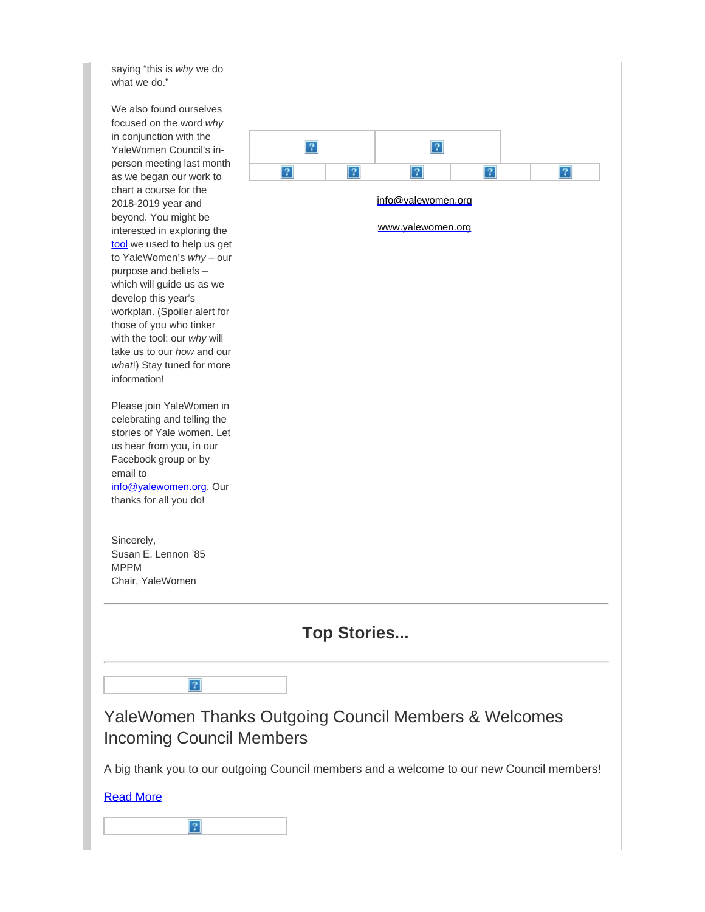saying "this is *why* we do what we do."

We also found ourselves focused on the word *why* in conjunction with the YaleWomen Council's inperson meeting last month as we began our work to chart a course for the 2018-2019 year and beyond. You might be interested in exploring the [tool](https://na01.safelinks.protection.outlook.com/?url=https%3A%2F%2Fwww.yalewomen.org%2Fr%3Fu%3Dhttps%253A%252F%252Fwww.ted.com%252Ftalks%252Fsimon_sinek_how_great_leaders_inspire_action%26e%3D082a34e826bdd8bc81b2ae13b59ca50d183566c3%26utm_source%3Dyalewomen%26utm_medium%3Demail%26utm_campaign%3Dyw_summer2018%26n%3D2&data=02%7C01%7Cmindy.marks%40yale.edu%7C0dddaa41cfaf4b49b1dc08d5ddb6a6c1%7Cdd8cbebb21394df8b4114e3e87abeb5c%7C0%7C0%7C636658698925371635&sdata=BrZbfRxmbT%2FBJwHoKQVUS3j7VCbQV%2F%2BCgCgHyyvtcs8%3D&reserved=0) we used to help us get to YaleWomen's *why* – our purpose and beliefs – which will guide us as we develop this year's workplan. (Spoiler alert for those of you who tinker with the tool: our *why* will take us to our *how* and our *what*!) Stay tuned for more information!

Please join YaleWomen in celebrating and telling the stories of Yale women. Let us hear from you, in our Facebook group or by email to [info@yalewomen.org](mailto:info@yalewomen.org). Our thanks for all you do!

Sincerely, Susan E. Lennon '85 MPPM Chair, YaleWomen

 $|?|$ 

 $|2|$ 



[Read More](https://na01.safelinks.protection.outlook.com/?url=https%3A%2F%2Fwww.yalewomen.org%2Fyalewomen_thanks_outgoing_council_members_welcomes_incoming_council_members%3Fe%3D082a34e826bdd8bc81b2ae13b59ca50d183566c3%26utm_source%3Dyalewomen%26utm_medium%3Demail%26utm_campaign%3Dyw_summer2018%26n%3D10&data=02%7C01%7Cmindy.marks%40yale.edu%7C0dddaa41cfaf4b49b1dc08d5ddb6a6c1%7Cdd8cbebb21394df8b4114e3e87abeb5c%7C0%7C0%7C636658698925527893&sdata=OKHBVSEGX2%2Bbu2Cthh7O0ZtvnJ2ftCKIGP6tAfic6JM%3D&reserved=0)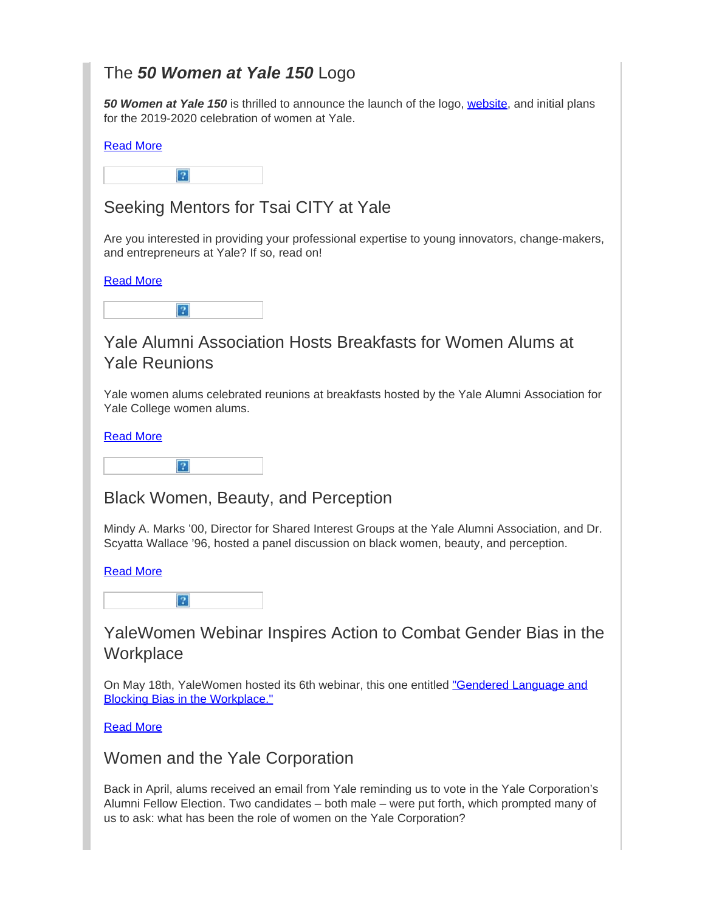# The *50 Women at Yale 150* Logo

*50 Women at Yale 150* is thrilled to announce the launch of the logo, [website](https://na01.safelinks.protection.outlook.com/?url=https%3A%2F%2Fwww.yalewomen.org%2Fr%3Fu%3Dhttps%253A%252F%252Fcelebratewomen.yale.edu%252F%26e%3D082a34e826bdd8bc81b2ae13b59ca50d183566c3%26utm_source%3Dyalewomen%26utm_medium%3Demail%26utm_campaign%3Dyw_summer2018%26n%3D11&data=02%7C01%7Cmindy.marks%40yale.edu%7C0dddaa41cfaf4b49b1dc08d5ddb6a6c1%7Cdd8cbebb21394df8b4114e3e87abeb5c%7C0%7C0%7C636658698925527893&sdata=BoWZ6dUYIcXgs48gbIIHkICu3z83v6j%2FSpf5DO6SOFs%3D&reserved=0), and initial plans for the 2019-2020 celebration of women at Yale.

### [Read More](https://na01.safelinks.protection.outlook.com/?url=https%3A%2F%2Fwww.yalewomen.org%2Fbehind_the_logo_50_women_at_yale_150%3Fe%3D082a34e826bdd8bc81b2ae13b59ca50d183566c3%26utm_source%3Dyalewomen%26utm_medium%3Demail%26utm_campaign%3Dyw_summer2018%26n%3D12&data=02%7C01%7Cmindy.marks%40yale.edu%7C0dddaa41cfaf4b49b1dc08d5ddb6a6c1%7Cdd8cbebb21394df8b4114e3e87abeb5c%7C0%7C0%7C636658698925527893&sdata=nP%2FgJI9rT4UP1ZyVDJEyNjM1L2XpDLFf2PRUNnnL%2B18%3D&reserved=0)

 $\overline{?}$ 

## Seeking Mentors for Tsai CITY at Yale

Are you interested in providing your professional expertise to young innovators, change-makers, and entrepreneurs at Yale? If so, read on!

### [Read More](https://na01.safelinks.protection.outlook.com/?url=https%3A%2F%2Fwww.yalewomen.org%2Fseeking_mentors_for_tsai_city_at_yale%3Fe%3D082a34e826bdd8bc81b2ae13b59ca50d183566c3%26utm_source%3Dyalewomen%26utm_medium%3Demail%26utm_campaign%3Dyw_summer2018%26n%3D13&data=02%7C01%7Cmindy.marks%40yale.edu%7C0dddaa41cfaf4b49b1dc08d5ddb6a6c1%7Cdd8cbebb21394df8b4114e3e87abeb5c%7C0%7C0%7C636658698925527893&sdata=Yx6WyXumZbkXG3XZU7yyfimCjQkfsi3lUeNUoCSkA94%3D&reserved=0)

|--|

### Yale Alumni Association Hosts Breakfasts for Women Alums at Yale Reunions

Yale women alums celebrated reunions at breakfasts hosted by the Yale Alumni Association for Yale College women alums.

#### [Read More](https://na01.safelinks.protection.outlook.com/?url=https%3A%2F%2Fwww.yalewomen.org%2Fyale_college_women_alums_at_yale_reunions%3Fe%3D082a34e826bdd8bc81b2ae13b59ca50d183566c3%26utm_source%3Dyalewomen%26utm_medium%3Demail%26utm_campaign%3Dyw_summer2018%26n%3D14&data=02%7C01%7Cmindy.marks%40yale.edu%7C0dddaa41cfaf4b49b1dc08d5ddb6a6c1%7Cdd8cbebb21394df8b4114e3e87abeb5c%7C0%7C0%7C636658698925527893&sdata=IAMrw44ZGl%2FDlM1yRp1vMYs6M5TrVqYNOPecGC7XLfY%3D&reserved=0)



Black Women, Beauty, and Perception

Mindy A. Marks '00, Director for Shared Interest Groups at the Yale Alumni Association, and Dr. Scyatta Wallace '96, hosted a panel discussion on black women, beauty, and perception.

#### [Read More](https://na01.safelinks.protection.outlook.com/?url=https%3A%2F%2Fwww.yalewomen.org%2Fyale_alumni_association_hosts_panel_discussion_on_black_women_beauty_and_perception%3Fe%3D082a34e826bdd8bc81b2ae13b59ca50d183566c3%26utm_source%3Dyalewomen%26utm_medium%3Demail%26utm_campaign%3Dyw_summer2018%26n%3D15&data=02%7C01%7Cmindy.marks%40yale.edu%7C0dddaa41cfaf4b49b1dc08d5ddb6a6c1%7Cdd8cbebb21394df8b4114e3e87abeb5c%7C0%7C0%7C636658698925527893&sdata=7NS%2F7T4M2KOFOuzNhvCbsEWgx211c161gK%2Fgz%2Fs%2FclU%3D&reserved=0)



### YaleWomen Webinar Inspires Action to Combat Gender Bias in the **Workplace**

On May 18th, YaleWomen hosted its 6th webinar, this one entitled ["Gendered Language and](https://na01.safelinks.protection.outlook.com/?url=https%3A%2F%2Fwww.yalewomen.org%2Fr%3Fu%3Dhttps%253A%252F%252Fwww.youtube.com%252Fwatch%253Fv%253DqXI-4SiMgsg%2526t%253D8s%26e%3D082a34e826bdd8bc81b2ae13b59ca50d183566c3%26utm_source%3Dyalewomen%26utm_medium%3Demail%26utm_campaign%3Dyw_summer2018%26n%3D16&data=02%7C01%7Cmindy.marks%40yale.edu%7C0dddaa41cfaf4b49b1dc08d5ddb6a6c1%7Cdd8cbebb21394df8b4114e3e87abeb5c%7C0%7C0%7C636658698925527893&sdata=EVKv820vfpNDC5gGQlqpDNUfNfYN5ANC1ioJtBZXFqc%3D&reserved=0) [Blocking Bias in the Workplace."](https://na01.safelinks.protection.outlook.com/?url=https%3A%2F%2Fwww.yalewomen.org%2Fr%3Fu%3Dhttps%253A%252F%252Fwww.youtube.com%252Fwatch%253Fv%253DqXI-4SiMgsg%2526t%253D8s%26e%3D082a34e826bdd8bc81b2ae13b59ca50d183566c3%26utm_source%3Dyalewomen%26utm_medium%3Demail%26utm_campaign%3Dyw_summer2018%26n%3D16&data=02%7C01%7Cmindy.marks%40yale.edu%7C0dddaa41cfaf4b49b1dc08d5ddb6a6c1%7Cdd8cbebb21394df8b4114e3e87abeb5c%7C0%7C0%7C636658698925527893&sdata=EVKv820vfpNDC5gGQlqpDNUfNfYN5ANC1ioJtBZXFqc%3D&reserved=0)

### [Read More](https://na01.safelinks.protection.outlook.com/?url=https%3A%2F%2Fwww.yalewomen.org%2Fyalewomen_webinar_inspires_action_to_combat_gender_bias_in_the_workplace%3Fe%3D082a34e826bdd8bc81b2ae13b59ca50d183566c3%26utm_source%3Dyalewomen%26utm_medium%3Demail%26utm_campaign%3Dyw_summer2018%26n%3D17&data=02%7C01%7Cmindy.marks%40yale.edu%7C0dddaa41cfaf4b49b1dc08d5ddb6a6c1%7Cdd8cbebb21394df8b4114e3e87abeb5c%7C0%7C0%7C636658698925527893&sdata=4BYvYT3YgVAGeH3f1pl0M5q%2BCN%2BbaD2uVqzEthf0DQo%3D&reserved=0)

### Women and the Yale Corporation

Back in April, alums received an email from Yale reminding us to vote in the Yale Corporation's Alumni Fellow Election. Two candidates – both male – were put forth, which prompted many of us to ask: what has been the role of women on the Yale Corporation?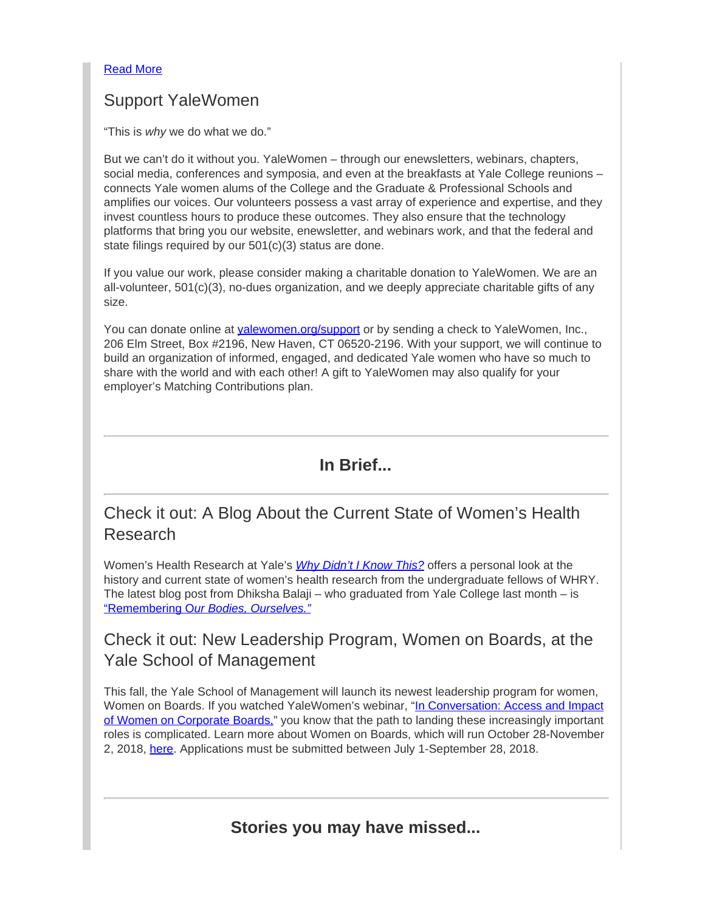### [Read More](https://na01.safelinks.protection.outlook.com/?url=https%3A%2F%2Fwww.yalewomen.org%2Fwomen_and_the_yale_corporation%3Fe%3D082a34e826bdd8bc81b2ae13b59ca50d183566c3%26utm_source%3Dyalewomen%26utm_medium%3Demail%26utm_campaign%3Dyw_summer2018%26n%3D18&data=02%7C01%7Cmindy.marks%40yale.edu%7C0dddaa41cfaf4b49b1dc08d5ddb6a6c1%7Cdd8cbebb21394df8b4114e3e87abeb5c%7C0%7C0%7C636658698925527893&sdata=odxZuD75CaPrWd1d8E1S8Sb3xVK0CNrjjmJJAGTLpoo%3D&reserved=0)

## Support YaleWomen

"This is *why* we do what we do."

But we can't do it without you. YaleWomen – through our enewsletters, webinars, chapters, social media, conferences and symposia, and even at the breakfasts at Yale College reunions – connects Yale women alums of the College and the Graduate & Professional Schools and amplifies our voices. Our volunteers possess a vast array of experience and expertise, and they invest countless hours to produce these outcomes. They also ensure that the technology platforms that bring you our website, enewsletter, and webinars work, and that the federal and state filings required by our 501(c)(3) status are done.

If you value our work, please consider making a charitable donation to YaleWomen. We are an all-volunteer, 501(c)(3), no-dues organization, and we deeply appreciate charitable gifts of any size.

You can donate online at [yalewomen.org/support](https://na01.safelinks.protection.outlook.com/?url=https%3A%2F%2Fwww.yalewomen.org%2Fsupport%3Fe%3D082a34e826bdd8bc81b2ae13b59ca50d183566c3%26utm_source%3Dyalewomen%26utm_medium%3Demail%26utm_campaign%3Dyw_summer2018%26n%3D19&data=02%7C01%7Cmindy.marks%40yale.edu%7C0dddaa41cfaf4b49b1dc08d5ddb6a6c1%7Cdd8cbebb21394df8b4114e3e87abeb5c%7C0%7C0%7C636658698925527893&sdata=5FrErpe7Kdx7xDrlrsn9vW1gx3%2FyotXY7UgGl8snRxg%3D&reserved=0) or by sending a check to YaleWomen, Inc., 206 Elm Street, Box #2196, New Haven, CT 06520-2196. With your support, we will continue to build an organization of informed, engaged, and dedicated Yale women who have so much to share with the world and with each other! A gift to YaleWomen may also qualify for your employer's Matching Contributions plan.

## **In Brief...**

# Check it out: A Blog About the Current State of Women's Health Research

Women's Health Research at Yale's *[Why Didn't I Know This?](https://na01.safelinks.protection.outlook.com/?url=https%3A%2F%2Fwww.yalewomen.org%2Fr%3Fu%3Dhttps%253A%252F%252Fmedium.com%252Fwhy-didnt-i-know-this%26e%3D082a34e826bdd8bc81b2ae13b59ca50d183566c3%26utm_source%3Dyalewomen%26utm_medium%3Demail%26utm_campaign%3Dyw_summer2018%26n%3D20&data=02%7C01%7Cmindy.marks%40yale.edu%7C0dddaa41cfaf4b49b1dc08d5ddb6a6c1%7Cdd8cbebb21394df8b4114e3e87abeb5c%7C0%7C0%7C636658698925527893&sdata=T0VZQhpVFg%2Bv8dfUvUIFA6K6aYaF47SeshjLJt828qA%3D&reserved=0)* offers a personal look at the history and current state of women's health research from the undergraduate fellows of WHRY. The latest blog post from Dhiksha Balaji – who graduated from Yale College last month – is "Remembering O*[ur Bodies, Ourselves."](https://na01.safelinks.protection.outlook.com/?url=https%3A%2F%2Fwww.yalewomen.org%2Fr%3Fu%3Dhttps%253A%252F%252Fmedium.com%252Fwhy-didnt-i-know-this%252Fremembering-our-bodies-ourselves-86c37843a50e%26e%3D082a34e826bdd8bc81b2ae13b59ca50d183566c3%26utm_source%3Dyalewomen%26utm_medium%3Demail%26utm_campaign%3Dyw_summer2018%26n%3D21&data=02%7C01%7Cmindy.marks%40yale.edu%7C0dddaa41cfaf4b49b1dc08d5ddb6a6c1%7Cdd8cbebb21394df8b4114e3e87abeb5c%7C0%7C0%7C636658698925527893&sdata=GRA9qwdHTxu9VcK6tsLvKYnt9U4fmlQ6JGNknUn0lMw%3D&reserved=0)*

### Check it out: New Leadership Program, Women on Boards, at the Yale School of Management

This fall, the Yale School of Management will launch its newest leadership program for women, Women on Boards. If you watched YaleWomen's webinar, ["In Conversation: Access and Impact](https://na01.safelinks.protection.outlook.com/?url=https%3A%2F%2Fwww.yalewomen.org%2Fr%3Fu%3Dhttps%253A%252F%252Fwww.youtube.com%252Fwatch%253Fv%253DKV_VmtdY92E%26e%3D082a34e826bdd8bc81b2ae13b59ca50d183566c3%26utm_source%3Dyalewomen%26utm_medium%3Demail%26utm_campaign%3Dyw_summer2018%26n%3D22&data=02%7C01%7Cmindy.marks%40yale.edu%7C0dddaa41cfaf4b49b1dc08d5ddb6a6c1%7Cdd8cbebb21394df8b4114e3e87abeb5c%7C0%7C0%7C636658698925527893&sdata=ktZWzoYd%2FFZ%2BO30Y6Sbg%2BxT%2Ft18g6p2fhLaAf8MYH1o%3D&reserved=0) [of Women on Corporate Boards,](https://na01.safelinks.protection.outlook.com/?url=https%3A%2F%2Fwww.yalewomen.org%2Fr%3Fu%3Dhttps%253A%252F%252Fwww.youtube.com%252Fwatch%253Fv%253DKV_VmtdY92E%26e%3D082a34e826bdd8bc81b2ae13b59ca50d183566c3%26utm_source%3Dyalewomen%26utm_medium%3Demail%26utm_campaign%3Dyw_summer2018%26n%3D22&data=02%7C01%7Cmindy.marks%40yale.edu%7C0dddaa41cfaf4b49b1dc08d5ddb6a6c1%7Cdd8cbebb21394df8b4114e3e87abeb5c%7C0%7C0%7C636658698925527893&sdata=ktZWzoYd%2FFZ%2BO30Y6Sbg%2BxT%2Ft18g6p2fhLaAf8MYH1o%3D&reserved=0)" you know that the path to landing these increasingly important roles is complicated. Learn more about Women on Boards, which will run October 28-November 2, 2018, [here](https://na01.safelinks.protection.outlook.com/?url=https%3A%2F%2Fwww.yalewomen.org%2Fr%3Fu%3Dhttps%253A%252F%252Fsom.yale.edu%252Fevent%252F2018%252F10%252Fwomen-on-boards%26e%3D082a34e826bdd8bc81b2ae13b59ca50d183566c3%26utm_source%3Dyalewomen%26utm_medium%3Demail%26utm_campaign%3Dyw_summer2018%26n%3D23&data=02%7C01%7Cmindy.marks%40yale.edu%7C0dddaa41cfaf4b49b1dc08d5ddb6a6c1%7Cdd8cbebb21394df8b4114e3e87abeb5c%7C0%7C0%7C636658698925527893&sdata=33Q6Gc85F2gW4%2FEF2frUHum5gSDXgcJyawcDQBbjC%2FQ%3D&reserved=0). Applications must be submitted between July 1-September 28, 2018.

**Stories you may have missed...**